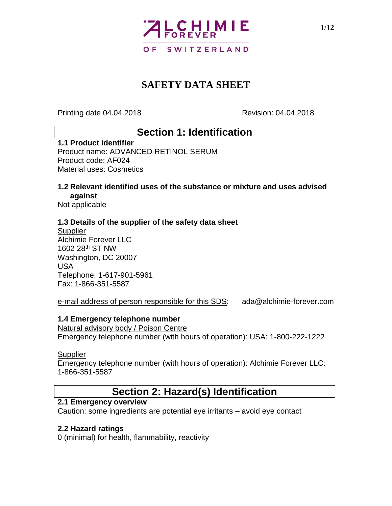

Printing date 04.04.2018 Revision: 04.04.2018

### **Section 1: Identification**

#### **1.1 Product identifier**

Product name: ADVANCED RETINOL SERUM Product code: AF024 Material uses: Cosmetics

#### **1.2 Relevant identified uses of the substance or mixture and uses advised against**

Not applicable

#### **1.3 Details of the supplier of the safety data sheet**

**Supplier** Alchimie Forever LLC 1602 28th ST NW Washington, DC 20007 USA Telephone: 1-617-901-5961 Fax: 1-866-351-5587

e-mail address of person responsible for this SDS: ada@alchimie-forever.com

#### **1.4 Emergency telephone number**

Natural advisory body / Poison Centre Emergency telephone number (with hours of operation): USA: 1-800-222-1222

#### **Supplier**

Emergency telephone number (with hours of operation): Alchimie Forever LLC: 1-866-351-5587

## **Section 2: Hazard(s) Identification**

#### **2.1 Emergency overview**

Caution: some ingredients are potential eye irritants – avoid eye contact

#### **2.2 Hazard ratings**

0 (minimal) for health, flammability, reactivity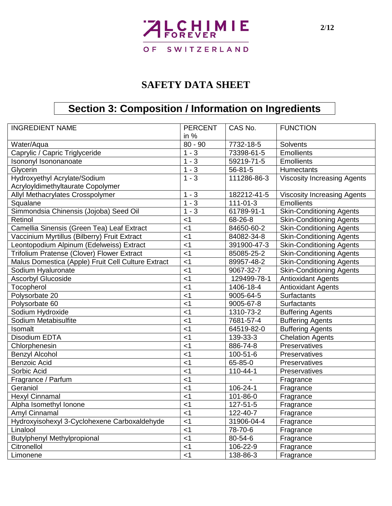

# **Section 3: Composition / Information on Ingredients**

| <b>INGREDIENT NAME</b>                             | <b>PERCENT</b> | CAS No.        | <b>FUNCTION</b>                    |  |
|----------------------------------------------------|----------------|----------------|------------------------------------|--|
|                                                    | in $%$         |                |                                    |  |
| Water/Aqua                                         | $80 - 90$      | 7732-18-5      | <b>Solvents</b>                    |  |
| Caprylic / Capric Triglyceride                     | $1 - 3$        | 73398-61-5     | <b>Emollients</b>                  |  |
| Isononyl Isononanoate                              | $1 - 3$        | 59219-71-5     | <b>Emollients</b>                  |  |
| Glycerin                                           | $1 - 3$        | $56 - 81 - 5$  | <b>Humectants</b>                  |  |
| Hydroxyethyl Acrylate/Sodium                       | $1 - 3$        | 111286-86-3    | <b>Viscosity Increasing Agents</b> |  |
| AcryloyIdimethyItaurate Copolymer                  |                |                |                                    |  |
| Allyl Methacrylates Crosspolymer                   | $1 - 3$        | 182212-41-5    | <b>Viscosity Increasing Agents</b> |  |
| Squalane                                           | $1 - 3$        | $111 - 01 - 3$ | <b>Emollients</b>                  |  |
| Simmondsia Chinensis (Jojoba) Seed Oil             | $1 - 3$        | 61789-91-1     | <b>Skin-Conditioning Agents</b>    |  |
| Retinol                                            | $<$ 1          | 68-26-8        | <b>Skin-Conditioning Agents</b>    |  |
| Camellia Sinensis (Green Tea) Leaf Extract         | $<$ 1          | 84650-60-2     | <b>Skin-Conditioning Agents</b>    |  |
| Vaccinium Myrtillus (Bilberry) Fruit Extract       | $<$ 1          | 84082-34-8     | Skin-Conditioning Agents           |  |
| Leontopodium Alpinum (Edelweiss) Extract           | $<$ 1          | 391900-47-3    | <b>Skin-Conditioning Agents</b>    |  |
| Trifolium Pratense (Clover) Flower Extract         | $<$ 1          | 85085-25-2     | <b>Skin-Conditioning Agents</b>    |  |
| Malus Domestica (Apple) Fruit Cell Culture Extract | $<$ 1          | 89957-48-2     | <b>Skin-Conditioning Agents</b>    |  |
| Sodium Hyaluronate                                 | $<$ 1          | 9067-32-7      | <b>Skin-Conditioning Agents</b>    |  |
| <b>Ascorbyl Glucoside</b>                          | < 1            | 129499-78-1    | <b>Antioxidant Agents</b>          |  |
| Tocopherol                                         | $<$ 1          | 1406-18-4      | <b>Antioxidant Agents</b>          |  |
| Polysorbate 20                                     | $<$ 1          | 9005-64-5      | Surfactants                        |  |
| Polysorbate 60                                     | $<$ 1          | 9005-67-8      | Surfactants                        |  |
| Sodium Hydroxide                                   | $<$ 1          | 1310-73-2      | <b>Buffering Agents</b>            |  |
| Sodium Metabisulfite                               | $<$ 1          | 7681-57-4      | <b>Buffering Agents</b>            |  |
| Isomalt                                            | $<$ 1          | 64519-82-0     | <b>Buffering Agents</b>            |  |
| Disodium EDTA                                      | $<$ 1          | 139-33-3       | <b>Chelation Agents</b>            |  |
| Chlorphenesin                                      | $<$ 1          | 886-74-8       | Preservatives                      |  |
| <b>Benzyl Alcohol</b>                              | $<$ 1          | 100-51-6       | Preservatives                      |  |
| <b>Benzoic Acid</b>                                | $<$ 1          | 65-85-0        | Preservatives                      |  |
| Sorbic Acid                                        | $<$ 1          | 110-44-1       | Preservatives                      |  |
| Fragrance / Parfum                                 | $<$ 1          |                | Fragrance                          |  |
| Geraniol                                           | $<$ 1          | 106-24-1       | Fragrance                          |  |
| <b>Hexyl Cinnamal</b>                              | $<$ 1          | 101-86-0       | Fragrance                          |  |
| Alpha Isomethyl Ionone                             | < 1            | 127-51-5       | Fragrance                          |  |
| Amyl Cinnamal                                      | $<$ 1          | 122-40-7       | Fragrance                          |  |
| Hydroxyisohexyl 3-Cyclohexene Carboxaldehyde       | $<$ 1          | 31906-04-4     | Fragrance                          |  |
| Linalool                                           | $<$ 1          | 78-70-6        | Fragrance                          |  |
| <b>Butylphenyl Methylpropional</b>                 | $<$ 1          | 80-54-6        | Fragrance                          |  |
| Citronellol                                        | $<$ 1          | 106-22-9       | Fragrance                          |  |
| Limonene                                           | $<$ 1          | 138-86-3       | Fragrance                          |  |
|                                                    |                |                |                                    |  |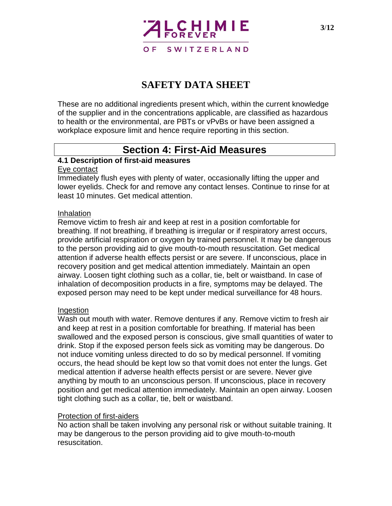

These are no additional ingredients present which, within the current knowledge of the supplier and in the concentrations applicable, are classified as hazardous to health or the environmental, are PBTs or vPvBs or have been assigned a workplace exposure limit and hence require reporting in this section.

### **Section 4: First-Aid Measures**

#### **4.1 Description of first-aid measures**

#### Eye contact

Immediately flush eyes with plenty of water, occasionally lifting the upper and lower eyelids. Check for and remove any contact lenses. Continue to rinse for at least 10 minutes. Get medical attention.

#### Inhalation

Remove victim to fresh air and keep at rest in a position comfortable for breathing. If not breathing, if breathing is irregular or if respiratory arrest occurs, provide artificial respiration or oxygen by trained personnel. It may be dangerous to the person providing aid to give mouth-to-mouth resuscitation. Get medical attention if adverse health effects persist or are severe. If unconscious, place in recovery position and get medical attention immediately. Maintain an open airway. Loosen tight clothing such as a collar, tie, belt or waistband. In case of inhalation of decomposition products in a fire, symptoms may be delayed. The exposed person may need to be kept under medical surveillance for 48 hours.

#### Ingestion

Wash out mouth with water. Remove dentures if any. Remove victim to fresh air and keep at rest in a position comfortable for breathing. If material has been swallowed and the exposed person is conscious, give small quantities of water to drink. Stop if the exposed person feels sick as vomiting may be dangerous. Do not induce vomiting unless directed to do so by medical personnel. If vomiting occurs, the head should be kept low so that vomit does not enter the lungs. Get medical attention if adverse health effects persist or are severe. Never give anything by mouth to an unconscious person. If unconscious, place in recovery position and get medical attention immediately. Maintain an open airway. Loosen tight clothing such as a collar, tie, belt or waistband.

#### Protection of first-aiders

No action shall be taken involving any personal risk or without suitable training. It may be dangerous to the person providing aid to give mouth-to-mouth resuscitation.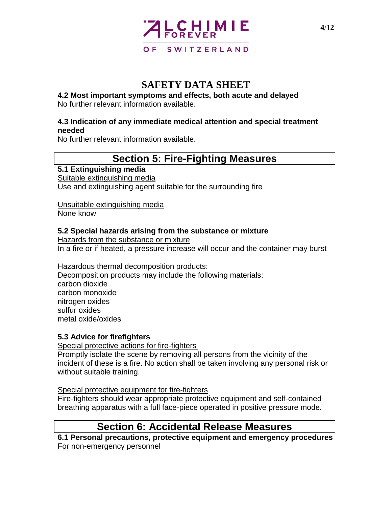

**4.2 Most important symptoms and effects, both acute and delayed** No further relevant information available.

#### **4.3 Indication of any immediate medical attention and special treatment needed**

No further relevant information available.

## **Section 5: Fire-Fighting Measures**

#### **5.1 Extinguishing media**

Suitable extinguishing media Use and extinguishing agent suitable for the surrounding fire

Unsuitable extinguishing media

None know

#### **5.2 Special hazards arising from the substance or mixture**

Hazards from the substance or mixture In a fire or if heated, a pressure increase will occur and the container may burst

#### Hazardous thermal decomposition products:

Decomposition products may include the following materials: carbon dioxide carbon monoxide nitrogen oxides sulfur oxides metal oxide/oxides

#### **5.3 Advice for firefighters**

Special protective actions for fire-fighters

Promptly isolate the scene by removing all persons from the vicinity of the incident of these is a fire. No action shall be taken involving any personal risk or without suitable training.

#### Special protective equipment for fire-fighters

Fire-fighters should wear appropriate protective equipment and self-contained breathing apparatus with a full face-piece operated in positive pressure mode.

## **Section 6: Accidental Release Measures**

**6.1 Personal precautions, protective equipment and emergency procedures** For non-emergency personnel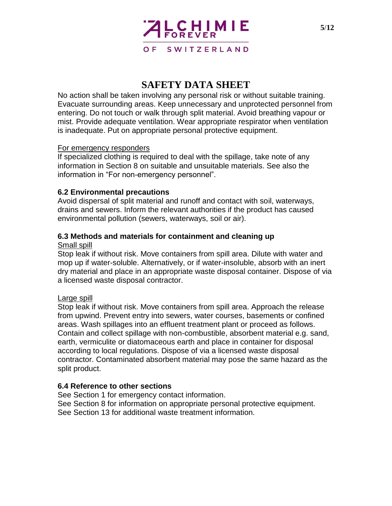

No action shall be taken involving any personal risk or without suitable training. Evacuate surrounding areas. Keep unnecessary and unprotected personnel from entering. Do not touch or walk through split material. Avoid breathing vapour or mist. Provide adequate ventilation. Wear appropriate respirator when ventilation is inadequate. Put on appropriate personal protective equipment.

#### For emergency responders

If specialized clothing is required to deal with the spillage, take note of any information in Section 8 on suitable and unsuitable materials. See also the information in "For non-emergency personnel".

#### **6.2 Environmental precautions**

Avoid dispersal of split material and runoff and contact with soil, waterways, drains and sewers. Inform the relevant authorities if the product has caused environmental pollution (sewers, waterways, soil or air).

#### **6.3 Methods and materials for containment and cleaning up**

#### Small spill

Stop leak if without risk. Move containers from spill area. Dilute with water and mop up if water-soluble. Alternatively, or if water-insoluble, absorb with an inert dry material and place in an appropriate waste disposal container. Dispose of via a licensed waste disposal contractor.

#### Large spill

Stop leak if without risk. Move containers from spill area. Approach the release from upwind. Prevent entry into sewers, water courses, basements or confined areas. Wash spillages into an effluent treatment plant or proceed as follows. Contain and collect spillage with non-combustible, absorbent material e.g. sand, earth, vermiculite or diatomaceous earth and place in container for disposal according to local regulations. Dispose of via a licensed waste disposal contractor. Contaminated absorbent material may pose the same hazard as the split product.

#### **6.4 Reference to other sections**

See Section 1 for emergency contact information. See Section 8 for information on appropriate personal protective equipment. See Section 13 for additional waste treatment information.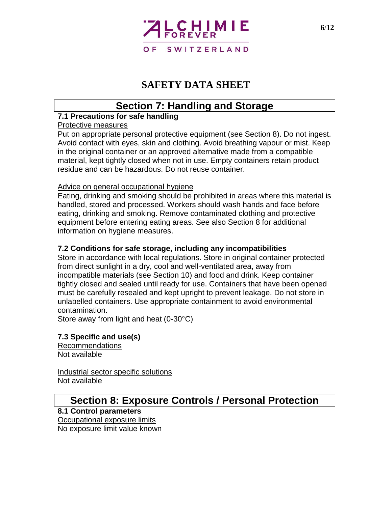

## **Section 7: Handling and Storage**

#### **7.1 Precautions for safe handling**

#### Protective measures

Put on appropriate personal protective equipment (see Section 8). Do not ingest. Avoid contact with eyes, skin and clothing. Avoid breathing vapour or mist. Keep in the original container or an approved alternative made from a compatible material, kept tightly closed when not in use. Empty containers retain product residue and can be hazardous. Do not reuse container.

#### Advice on general occupational hygiene

Eating, drinking and smoking should be prohibited in areas where this material is handled, stored and processed. Workers should wash hands and face before eating, drinking and smoking. Remove contaminated clothing and protective equipment before entering eating areas. See also Section 8 for additional information on hygiene measures.

#### **7.2 Conditions for safe storage, including any incompatibilities**

Store in accordance with local regulations. Store in original container protected from direct sunlight in a dry, cool and well-ventilated area, away from incompatible materials (see Section 10) and food and drink. Keep container tightly closed and sealed until ready for use. Containers that have been opened must be carefully resealed and kept upright to prevent leakage. Do not store in unlabelled containers. Use appropriate containment to avoid environmental contamination.

Store away from light and heat (0-30°C)

### **7.3 Specific and use(s)**

Recommendations Not available

Industrial sector specific solutions Not available

#### **Section 8: Exposure Controls / Personal Protection 8.1 Control parameters**

Occupational exposure limits No exposure limit value known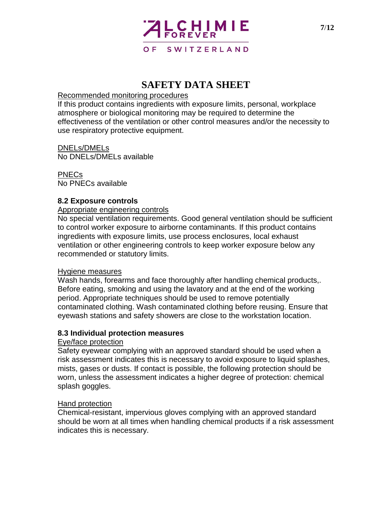

#### Recommended monitoring procedures

If this product contains ingredients with exposure limits, personal, workplace atmosphere or biological monitoring may be required to determine the effectiveness of the ventilation or other control measures and/or the necessity to use respiratory protective equipment.

DNELs/DMELs No DNELs/DMELs available

PNECs No PNECs available

#### **8.2 Exposure controls**

#### Appropriate engineering controls

No special ventilation requirements. Good general ventilation should be sufficient to control worker exposure to airborne contaminants. If this product contains ingredients with exposure limits, use process enclosures, local exhaust ventilation or other engineering controls to keep worker exposure below any recommended or statutory limits.

#### Hygiene measures

Wash hands, forearms and face thoroughly after handling chemical products,. Before eating, smoking and using the lavatory and at the end of the working period. Appropriate techniques should be used to remove potentially contaminated clothing. Wash contaminated clothing before reusing. Ensure that eyewash stations and safety showers are close to the workstation location.

#### **8.3 Individual protection measures**

#### Eye/face protection

Safety eyewear complying with an approved standard should be used when a risk assessment indicates this is necessary to avoid exposure to liquid splashes, mists, gases or dusts. If contact is possible, the following protection should be worn, unless the assessment indicates a higher degree of protection: chemical splash goggles.

#### Hand protection

Chemical-resistant, impervious gloves complying with an approved standard should be worn at all times when handling chemical products if a risk assessment indicates this is necessary.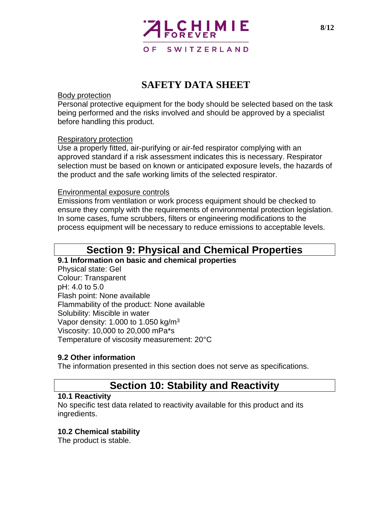

#### Body protection

Personal protective equipment for the body should be selected based on the task being performed and the risks involved and should be approved by a specialist before handling this product.

#### Respiratory protection

Use a properly fitted, air-purifying or air-fed respirator complying with an approved standard if a risk assessment indicates this is necessary. Respirator selection must be based on known or anticipated exposure levels, the hazards of the product and the safe working limits of the selected respirator.

#### Environmental exposure controls

Emissions from ventilation or work process equipment should be checked to ensure they comply with the requirements of environmental protection legislation. In some cases, fume scrubbers, filters or engineering modifications to the process equipment will be necessary to reduce emissions to acceptable levels.

### **Section 9: Physical and Chemical Properties**

#### **9.1 Information on basic and chemical properties**

Physical state: Gel Colour: Transparent pH: 4.0 to 5.0 Flash point: None available Flammability of the product: None available Solubility: Miscible in water Vapor density: 1.000 to 1.050 kg/m<sup>3</sup> Viscosity: 10,000 to 20,000 mPa\*s Temperature of viscosity measurement: 20°C

#### **9.2 Other information**

The information presented in this section does not serve as specifications.

## **Section 10: Stability and Reactivity**

#### **10.1 Reactivity**

No specific test data related to reactivity available for this product and its ingredients.

#### **10.2 Chemical stability**

The product is stable.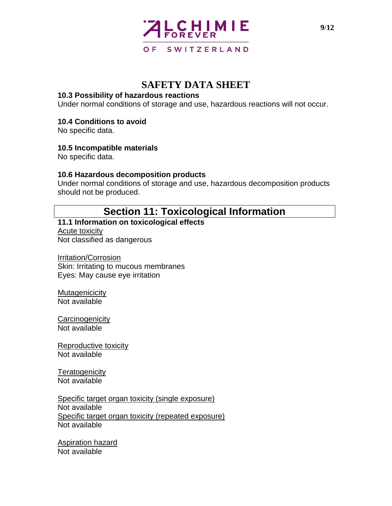

#### **10.3 Possibility of hazardous reactions**

Under normal conditions of storage and use, hazardous reactions will not occur.

#### **10.4 Conditions to avoid**

No specific data.

#### **10.5 Incompatible materials**

No specific data.

#### **10.6 Hazardous decomposition products**

Under normal conditions of storage and use, hazardous decomposition products should not be produced.

## **Section 11: Toxicological Information**

### **11.1 Information on toxicological effects**

Acute toxicity Not classified as dangerous

Irritation/Corrosion Skin: Irritating to mucous membranes Eyes: May cause eye irritation

**Mutagenicicity** Not available

**Carcinogenicity** Not available

Reproductive toxicity Not available

**Teratogenicity** Not available

Specific target organ toxicity (single exposure) Not available Specific target organ toxicity (repeated exposure) Not available

Aspiration hazard Not available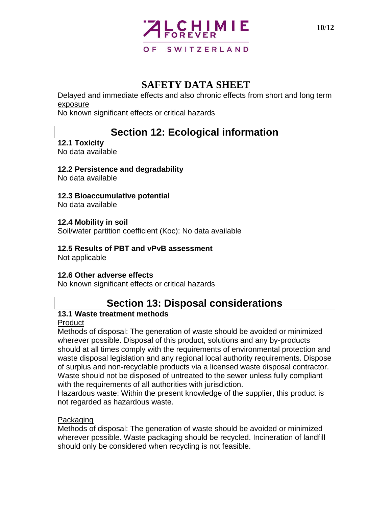

Delayed and immediate effects and also chronic effects from short and long term exposure

No known significant effects or critical hazards

## **Section 12: Ecological information**

#### **12.1 Toxicity**

No data available

#### **12.2 Persistence and degradability**

No data available

#### **12.3 Bioaccumulative potential**

No data available

#### **12.4 Mobility in soil**

Soil/water partition coefficient (Koc): No data available

#### **12.5 Results of PBT and vPvB assessment**

Not applicable

#### **12.6 Other adverse effects**

No known significant effects or critical hazards

## **Section 13: Disposal considerations**

#### **13.1 Waste treatment methods**

#### Product

Methods of disposal: The generation of waste should be avoided or minimized wherever possible. Disposal of this product, solutions and any by-products should at all times comply with the requirements of environmental protection and waste disposal legislation and any regional local authority requirements. Dispose of surplus and non-recyclable products via a licensed waste disposal contractor. Waste should not be disposed of untreated to the sewer unless fully compliant with the requirements of all authorities with jurisdiction.

Hazardous waste: Within the present knowledge of the supplier, this product is not regarded as hazardous waste.

#### Packaging

Methods of disposal: The generation of waste should be avoided or minimized wherever possible. Waste packaging should be recycled. Incineration of landfill should only be considered when recycling is not feasible.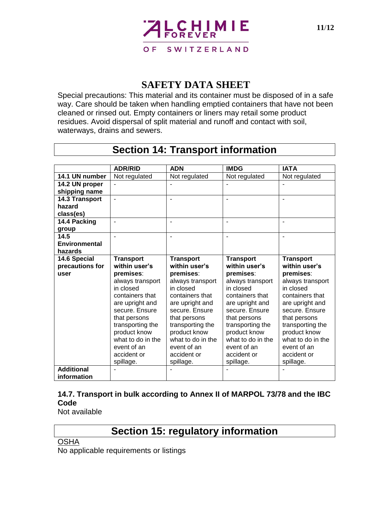

Special precautions: This material and its container must be disposed of in a safe way. Care should be taken when handling emptied containers that have not been cleaned or rinsed out. Empty containers or liners may retail some product residues. Avoid dispersal of split material and runoff and contact with soil, waterways, drains and sewers.

### **Section 14: Transport information**

|                      | <b>ADR/RID</b>                | <b>ADN</b>                    | <b>IMDG</b>                   | <b>IATA</b>                   |
|----------------------|-------------------------------|-------------------------------|-------------------------------|-------------------------------|
| 14.1 UN number       | Not regulated                 | Not regulated                 | Not regulated                 | Not regulated                 |
| 14.2 UN proper       |                               |                               |                               |                               |
| shipping name        |                               |                               |                               |                               |
| 14.3 Transport       |                               |                               |                               |                               |
| hazard               |                               |                               |                               |                               |
| class(es)            |                               |                               |                               |                               |
| 14.4 Packing         |                               | ۰                             |                               |                               |
| group                |                               |                               |                               |                               |
| 14.5                 |                               |                               |                               |                               |
| <b>Environmental</b> |                               |                               |                               |                               |
| hazards              |                               |                               |                               |                               |
| 14.6 Special         | <b>Transport</b>              | <b>Transport</b>              | <b>Transport</b>              | <b>Transport</b>              |
| precautions for      | within user's                 | within user's                 | within user's                 | within user's                 |
| user                 | premises:                     | premises:                     | premises:                     | premises:                     |
|                      | always transport<br>in closed | always transport<br>in closed | always transport<br>in closed | always transport<br>in closed |
|                      | containers that               | containers that               | containers that               | containers that               |
|                      | are upright and               | are upright and               | are upright and               | are upright and               |
|                      | secure. Ensure                | secure. Ensure                | secure. Ensure                | secure. Ensure                |
|                      | that persons                  | that persons                  | that persons                  | that persons                  |
|                      | transporting the              | transporting the              | transporting the              | transporting the              |
|                      | product know                  | product know                  | product know                  | product know                  |
|                      | what to do in the             | what to do in the             | what to do in the             | what to do in the             |
|                      | event of an                   | event of an                   | event of an                   | event of an                   |
|                      | accident or                   | accident or                   | accident or                   | accident or                   |
|                      | spillage.                     | spillage.                     | spillage.                     | spillage.                     |
| <b>Additional</b>    |                               |                               |                               |                               |
| information          |                               |                               |                               |                               |

#### **14.7. Transport in bulk according to Annex II of MARPOL 73/78 and the IBC Code**

Not available

## **Section 15: regulatory information**

**OSHA** 

No applicable requirements or listings